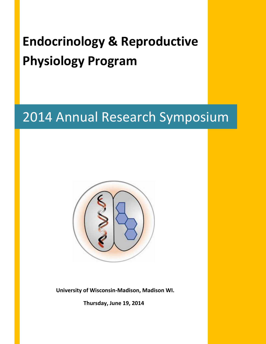# **Endocrinology & Reproductive Physiology Program**

# 2014 Annual Research Symposium



 **University of Wisconsin-Madison, Madison WI.**

 **Thursday, June 19, 2014**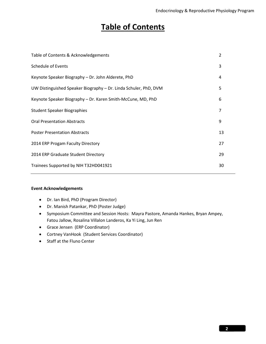# **Table of Contents**

| Table of Contents & Acknowledgements                             |                |
|------------------------------------------------------------------|----------------|
| <b>Schedule of Events</b>                                        | 3              |
| Keynote Speaker Biography - Dr. John Alderete, PhD               | 4              |
| UW Distinguished Speaker Biography - Dr. Linda Schuler, PhD, DVM | 5              |
| Keynote Speaker Biography - Dr. Karen Smith-McCune, MD, PhD      | 6              |
| <b>Student Speaker Biographies</b>                               | $\overline{7}$ |
| <b>Oral Presentation Abstracts</b>                               | 9              |
| <b>Poster Presentation Abstracts</b>                             | 13             |
| 2014 ERP Progam Faculty Directory                                | 27             |
| 2014 ERP Graduate Student Directory                              | 29             |
| Trainees Supported by NIH T32HD041921                            | 30             |

#### **Event Acknowledgements**

- Dr. Ian Bird, PhD (Program Director)
- Dr. Manish Patankar, PhD (Poster Judge)
- Symposium Committee and Session Hosts: Mayra Pastore, Amanda Hankes, Bryan Ampey, Fatou Jallow, Rosalina Villalon Landeros, Ka Yi Ling, Jun Ren
- Grace Jensen (ERP Coordinator)
- Cortney VanHook (Student Services Coordinator)
- Staff at the Fluno Center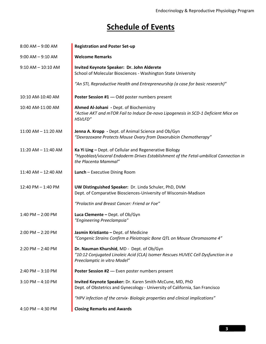# **Schedule of Events**

| $8:00$ AM $-9:00$ AM    | <b>Registration and Poster Set-up</b>                                                                                                                                     |  |  |
|-------------------------|---------------------------------------------------------------------------------------------------------------------------------------------------------------------------|--|--|
| $9:00$ AM $-9:10$ AM    | <b>Welcome Remarks</b>                                                                                                                                                    |  |  |
| $9:10$ AM $- 10:10$ AM  | Invited Keynote Speaker: Dr. John Alderete<br>School of Molecular Biosciences - Washington State University                                                               |  |  |
|                         | "An STI, Reproductive Health and Entrepreneurship (a case for basic research)"                                                                                            |  |  |
| 10:10 AM-10:40 AM       | Poster Session #1 --- Odd poster numbers present                                                                                                                          |  |  |
| 10:40 AM-11:00 AM       | Ahmed Al-Johani - Dept. of Biochemistry<br>"Active AKT and mTOR Fail to Induce De-novo Lipogenesis in SCD-1 Deficient Mice on<br>HSVLFD"                                  |  |  |
| $11:00$ AM $- 11:20$ AM | Jenna A. Kropp - Dept. of Animal Science and Ob/Gyn<br>"Dexrazoxane Protects Mouse Ovary from Doxorubicin Chemotherapy"                                                   |  |  |
| 11:20 AM - 11:40 AM     | Ka Yi Ling - Dept. of Cellular and Regenerative Biology<br>"Hypoblast/visceral Endoderm Drives Establishment of the Fetal-umbilical Connection in<br>the Placenta Mammal" |  |  |
| 11:40 AM - 12:40 AM     | <b>Lunch</b> - Executive Dining Room                                                                                                                                      |  |  |
| 12:40 PM - 1:40 PM      | UW Distinguished Speaker: Dr. Linda Schuler, PhD, DVM<br>Dept. of Comparative Biosciences-University of Wisconsin-Madison                                                 |  |  |
|                         | "Prolactin and Breast Cancer: Friend or Foe"                                                                                                                              |  |  |
| $1:40$ PM $- 2:00$ PM   | Luca Clemente - Dept. of Ob/Gyn<br>"Engineering Preeclampsia"                                                                                                             |  |  |
| $2:00$ PM $- 2:20$ PM   | Jasmin Kristianto - Dept. of Medicine<br>"Congenic Strains Confirm a Pleiotropic Bone QTL on Mouse Chromosome 4"                                                          |  |  |
| $2:20$ PM $- 2:40$ PM   | Dr. Nauman Khurshid, MD - Dept. of Ob/Gyn<br>"10:12 Conjugated Linoleic Acid (CLA) Isomer Rescues HUVEC Cell Dysfunction in a<br>Preeclamptic in vitro Model"             |  |  |
| $2:40$ PM $-3:10$ PM    | Poster Session #2 --- Even poster numbers present                                                                                                                         |  |  |
| $3:10$ PM $-$ 4:10 PM   | Invited Keynote Speaker: Dr. Karen Smith-McCune, MD, PhD<br>Dept. of Obstetrics and Gynecology - University of California, San Francisco                                  |  |  |
|                         | "HPV infection of the cervix- Biologic properties and clinical implications"                                                                                              |  |  |
| 4:10 PM $-$ 4:30 PM     | <b>Closing Remarks and Awards</b>                                                                                                                                         |  |  |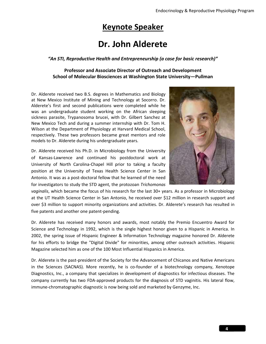# **Keynote Speaker**

# **Dr. John Alderete**

#### *"An STI, Reproductive Health and Entrepreneurship (a case for basic research)"*

#### **Professor and Associate Director of Outreach and Development School of Molecular Biosciences at Washington State University—Pullman**

Dr. Alderete received two B.S. degrees in Mathematics and Biology at New Mexico Institute of Mining and Technology at Socorro. Dr. Alderete's first and second publications were completed while he was an undergraduate student working on the African sleeping sickness parasite, Trypanosoma brucei, with Dr. Gilbert Sanchez at New Mexico Tech and during a summer internship with Dr. Tom H. Wilson at the Department of Physiology at Harvard Medical School, respectively. These two professors became great mentors and role models to Dr. Alderete during his undergraduate years.

Dr. Alderete received his Ph.D. in Microbiology from the University of Kansas-Lawrence and continued his postdoctoral work at University of North Carolina-Chapel Hill prior to taking a faculty position at the University of Texas Health Science Center in San Antonio. It was as a post-doctoral fellow that he learned of the need for investigators to study the STD agent, the protozoan *Trichomonas* 



*vaginalis*, which became the focus of his research for the last 30+ years. As a professor in Microbiology at the UT Health Science Center in San Antonio, he received over \$12 million in research support and over \$3 million to support minority organizations and activities. Dr. Alderete's research has resulted in five patents and another one patent-pending.

Dr. Alderete has received many honors and awards, most notably the Premio Encuentro Award for Science and Technology in 1992, which is the single highest honor given to a Hispanic in America. In 2002, the spring issue of Hispanic Engineer & Information Technology magazine honored Dr. Alderete for his efforts to bridge the "Digital Divide" for minorities, among other outreach activities. Hispanic Magazine selected him as one of the 100 Most Influential Hispanics in America.

Dr. Alderete is the past-president of the Society for the Advancement of Chicanos and Native Americans in the Sciences (SACNAS). More recently, he is co-founder of a biotechnology company, Xenotope Diagnostics, Inc., a company that specializes in development of diagnostics for infectious diseases. The company currently has two FDA-approved products for the diagnosis of STD vaginitis. His lateral flow, immune-chromatographic diagnostic is now being sold and marketed by Genzyme, Inc.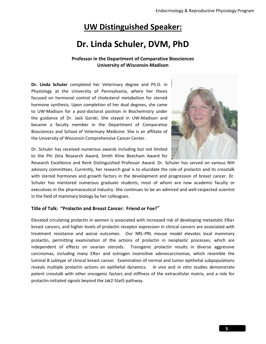# **UW Distinguished Speaker:**

# **Dr. Linda Schuler, DVM, PhD**

#### **Professor in the Department of Comparative Biosciences University of Wisconsin-Madison**

**Dr. Linda Schuler** completed her Veterinary degree and Ph.D. in Physiology at the University of Pennsylvania, where her thesis focused on hormonal control of cholesterol metabolism for steroid hormone synthesis. Upon completion of her dual degrees, she came to UW-Madison for a post-doctoral position in Biochemistry under the guidance of Dr. Jack Gorski. She stayed in UW-Madison and became a faculty member in the Department of Comparative Biosciences and School of Veterinary Medicine. She is an affiliate of the University of Wisconsin Comprehensive Cancer Center.



Dr. Schuler has received numerous awards including but not limited to the Phi Zeta Research Award, Smith Kline Beecham Award for

Research Excellence and Renk Distinguished Professor Award. Dr. Schuler has served on various NIH advisory committees. Currently, her research goal is to elucidate the role of prolactin and its crosstalk with steroid hormones and growth factors in the development and progression of breast cancer. Dr. Schuler has mentored numerous graduate students, most of whom are now academic faculty or executives in the pharmaceutical industry. She continues to be an admired and well-respected scientist in the field of mammary biology by her colleagues.

#### **Title of Talk: "Prolactin and Breast Cancer: Friend or Foe?**"

Elevated circulating prolactin in women is associated with increased risk of developing metastatic ERα+ breast cancers, and higher levels of prolactin receptor expression in clinical cancers are associated with treatment resistance and worse outcomes. Our NRL-PRL mouse model elevates local mammary prolactin, permitting examination of the actions of prolactin in neoplastic processes, which are independent of effects on ovarian steroids. Transgenic prolactin results in diverse aggressive carcinomas, including many  $ER\alpha +$  and estrogen insensitive adenocarcinomas, which resemble the luminal B subtype of clinical breast cancer. Examination of normal and tumor epithelial subpopulations reveals multiple prolactin actions on epithelial dynamics. *In vivo* and *in vitro* studies demonstrate potent crosstalk with other oncogenic factors and stiffness of the extracellular matrix, and a role for prolactin-initiated signals beyond the Jak2-Stat5 pathway.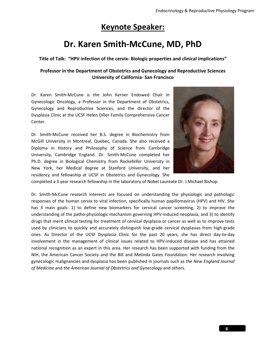# **Keynote Speaker:**

# **Dr. Karen Smith-McCune, MD, PhD**

**Title of Talk: "HPV infection of the cervix- Biologic properties and clinical implications"**

#### **Professor in the Department of Obstetrics and Gynecology and Reproductive Sciences University of California- San Francisco**

Dr. Karen Smith-McCune is the John Kerner Endowed Chair in Gynecologic Oncology, a Professor in the Department of Obstetrics, Gynecology and Reproductive Sciences, and the director of the Dysplasia Clinic at the UCSF Helen Diller Family Comprehensive Cancer Center.

Dr. Smith-McCune received her B.S. degree in Biochemistry from McGill University in Montreal, Quebec, Canada. She also received a Diploma in History and Philosophy of Science from Cambridge University, Cambridge England. Dr. Smith-McCune completed her Ph.D. degree in Biological Chemistry from Rockefeller University in New York, her Medical degree at Stanford University, and her residency and fellowship at UCSF in Obstetrics and Gynecology. She



completed a 3 year research fellowship in the laboratory of Nobel Laureate Dr. J Michael Bishop.

Dr. Smith-McCune research interests are focused on understanding the physiologic and pathologic responses of the human cervix to viral infection, specifically human papillomavirus (HPV) and HIV. She has 3 main goals: 1) to define new biomarkers for cervical cancer screening, 2) to improve the understanding of the patho-physiologic mechanism governing HPV-induced neoplasia, and 3) to identify drugs that merit clinical testing for treatment of cervical dysplasia or cancer as well as to improve tests used by clinicians to quickly and accurately distinguish low-grade cervical dysplasias from high-grade ones. As Director of the UCSF Dysplasia Clinic for the past 20 years, she has direct day-to-day involvement in the management of clinical issues related to HPV-induced disease and has attained national recognition as an expert in this area. Her research has been supported with funding from the NIH, the American Cancer Society and the Bill and Melinda Gates Foundation. Her research involving gynecologic malignancies and dysplasia has been published in journals such as *the New England Journal of Medicine* and *the American Journal of Obstetrics and Gynecology* and others.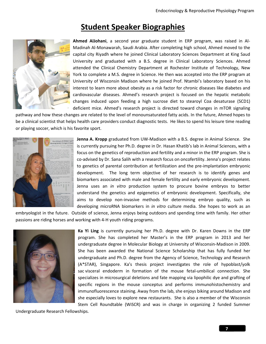# **Student Speaker Biographies**



**Ahmed AlJohani**, a second year graduate student in ERP program, was raised in Al-Madinah Al-Monawarah, Saudi Arabia. After completing high school, Ahmed moved to the capital city Riyadh where he joined Clinical Laboratory Sciences Department at King Saud University and graduated with a B.S. degree in Clinical Laboratory Sciences. Ahmed attended the Clinical Chemistry Department at Rochester Institute of Technology, New York to complete a M.S. degree in Science. He then was accepted into the ERP program at University of Wisconsin Madison where he joined Prof. Ntambi's laboratory based on his interest to learn more about obesity as a risk factor for chronic diseases like diabetes and cardiovascular diseases. Ahmed's research project is focused on the hepatic metabolic changes induced upon feeding a high sucrose diet to stearoyl Coa desaturase (SCD1) deficient mice. Ahmed's research project is directed toward changes in mTOR signaling

pathway and how these changes are related to the level of monounsaturated fatty acids. In the future, Ahmed hopes to be a clinical scientist that helps health care providers conduct diagnostic tests. He likes to spend his leisure time reading or playing soccer, which is his favorite sport.



**Jenna A. Kropp** graduated from UW-Madison with a B.S. degree in Animal Science. She is currently pursuing her Ph.D. degree in Dr. Hasan Khatib's lab in Animal Sciences, with a focus on the genetics of reproduction and fertility and a minor in the ERP program. She is co-advised by Dr. Sana Salih with a research focus on oncofertility. Jenna's project relates to genetics of parental contribution at fertilization and the pre-implantation embryonic development. The long term objective of her research is to identify genes and biomarkers associated with male and female fertility and early embryonic development. Jenna uses an *in vitro* production system to procure bovine embryos to better understand the genetics and epigenetics of embryonic development. Specifically, she aims to develop non-invasive methods for determining embryo quality, such as developing microRNA biomarkers in *in vitro* culture media. She hopes to work as an

embryologist in the future. Outside of science, Jenna enjoys being outdoors and spending time with family. Her other passions are riding horses and working with 4-H youth riding programs.



**Ka Yi Ling** is currently pursuing her Ph.D. degree with Dr. Karen Downs in the ERP program. She has completed her Master's in the ERP program in 2013 and her undergraduate degree in Molecular Biology at University of Wisconsin-Madison in 2009. She has been awarded the National Science Scholarship that has fully funded her undergraduate and Ph.D. degree from the Agency of Science, Technology and Research (A\*STAR), Singapore. Ka's thesis project investigates the role of hypoblast/yolk sac visceral endoderm in formation of the mouse fetal-umbilical connection. She specializes in microsurgical deletions and fate mapping via lipophilic dye and grafting of specific regions in the mouse conceptus and performs immunohistochemistry and immunofluorescence staining. Away from the lab, she enjoys biking around Madison and she especially loves to explore new restaurants. She is also a member of the Wisconsin Stem Cell Roundtable (WiSCR) and was in charge in organizing 2 funded Summer

Undergraduate Research Fellowships.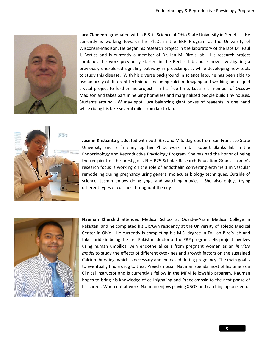

**Luca Clemente** graduated with a B.S. in Science at Ohio State University in Genetics. He currently is working towards his Ph.D. in the ERP Program at the University of Wisconsin-Madison. He began his research project in the laboratory of the late Dr. Paul J. Bertics and is currently a member of Dr. Ian M. Bird's lab. His research project combines the work previously started in the Bertics lab and is now investigating a previously unexplored signaling pathway in preeclampsia, while developing new tools to study this disease. With his diverse background in science labs, he has been able to use an array of different techniques including calcium Imaging and working on a liquid crystal project to further his project. In his free time, Luca is a member of Occupy Madison and takes part in helping homeless and marginalized people build tiny houses. Students around UW may spot Luca balancing giant boxes of reagents in one hand while riding his bike several miles from lab to lab.



**Jasmin Kristianto** graduated with both B.S. and M.S. degrees from San Francisco State University and is finishing up her Ph.D. work in Dr. Robert Blanks lab in the Endocrinology and Reproductive Physiology Program. She has had the honor of being the recipient of the prestigious NIH R25 Scholar Research Education Grant. Jasmin's research focus is working on the role of endothelin converting enzyme 1 in vascular remodeling during pregnancy using general molecular biology techniques. Outside of science, Jasmin enjoys doing yoga and watching movies. She also enjoys trying different types of cuisines throughout the city.



**Nauman Khurshid** attended Medical School at Quaid-e-Azam Medical College in Pakistan, and he completed his Ob/Gyn residency at the University of Toledo Medical Center in Ohio. He currently is completing his M.S. degree in Dr. Ian Bird's lab and takes pride in being the first Pakistani doctor of the ERP program. His project involves using human umbilical vein endothelial cells from pregnant women as an *in vitro model* to study the effects of different cytokines and growth factors on the sustained Calcium bursting, which is necessary and increased during pregnancy. The main goal is to eventually find a drug to treat Preeclampsia. Nauman spends most of his time as a Clinical Instructor and is currently a fellow in the MFM fellowship program. Nauman hopes to bring his knowledge of cell signaling and Preeclampsia to the next phase of his career. When not at work, Nauman enjoys playing XBOX and catching up on sleep.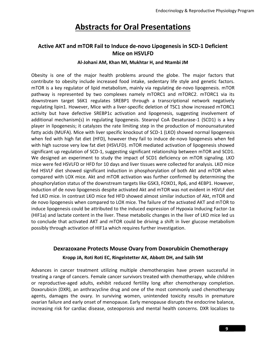# **Abstracts for Oral Presentations**

### **Active AKT and mTOR Fail to Induce de-novo Lipogenesis in SCD-1 Deficient Mice on HSVLFD**

#### **Al-Johani AM, Khan MI, Mukhtar H, and Ntambi JM**

Obesity is one of the major health problems around the globe. The major factors that contribute to obesity include increased food intake, sedentary life style and genetic factors. mTOR is a key regulator of lipid metabolism, mainly via regulating de-novo lipogenesis. mTOR pathway is represented by two complexes namely mTORC1 and mTORC2. mTORC1 via its downstream target S6K1 regulates SREBP1 through a transcriptional network negatively regulating lipin1. However, Mice with a liver-specific deletion of TSC1 show increased mTORC1 activity but have defective SREBP1c activation and lipogenesis, suggesting involvement of additional mechanism(s) in regulating lipogenesis. Stearoyl CoA Desaturase-1 (SCD1) is a key player in lipogenesis; it catalyzes the rate limiting step in the production of monounsaturated fatty acids (MUFA). Mice with liver specific knockout of SCD-1 (LKO) showed normal lipogenesis when fed with high fat diet (HFD), however they fail to induce de-novo lipogenesis when fed with high sucrose very low fat diet (HSVLFD). mTOR mediated activation of lipogenesis showed significant up regulation of SCD-1, suggesting significant relationship between mTOR and SCD1. We designed an experiment to study the impact of SCD1 deficiency on mTOR signaling. LKO mice were fed HSVLFD or HFD for 10 days and liver tissues were collected for analysis. LKO mice fed HSVLF diet showed significant induction in phosphorylation of both Akt and mTOR when compared with LOX mice. Akt and mTOR activation was further confirmed by determining the phosphorylation status of the downstream targets like GSK3, FOXO1, Rp6, and 4EBP1. However, induction of de novo lipogenesis despite activated Akt and mTOR was not evident in HSVLF diet fed LKO mice. In contrast LKO mice fed HFD showed almost similar induction of Akt, mTOR and de novo lipogenesis when compared to LOX mice. The failure of the activated AKT and mTOR to induce lipogenesis could be attributed to the induced expression of Hypoxia Inducing Factor-1 $\alpha$ (HIF1a) and lactate content in the liver. These metabolic changes in the liver of LKO mice led us to conclude that activated AKT and mTOR could be driving a shift in liver glucose metabolism possibly through activation of HIF1a which requires further investigation.

# **Dexrazoxane Protects Mouse Ovary from Doxorubicin Chemotherapy Kropp JA, Roti Roti EC, Ringelstetter AK, Abbott DH, and Salih SM**

Advances in cancer treatment utilizing multiple chemotherapies have proven successful in treating a range of cancers. Female cancer survivors treated with chemotherapy, while children or reproductive-aged adults, exhibit reduced fertility long after chemotherapy completion. Doxorubicin (DXR), an anthracycline drug and one of the most commonly used chemotherapy agents, damages the ovary. In surviving women, unintended toxicity results in premature ovarian failure and early onset of menopause. Early menopause disrupts the endocrine balance, increasing risk for cardiac disease, osteoporosis and mental health concerns. DXR localizes to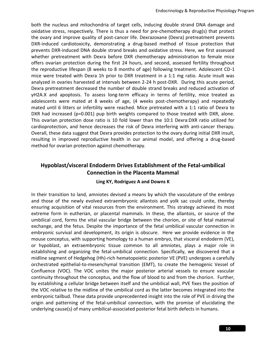both the nucleus and mitochondria of target cells, inducing double strand DNA damage and oxidative stress, respectively. There is thus a need for pre-chemotherapy drug(s) that protect the ovary and improve quality of post-cancer life. Dexrazoxane (Dexra) pretreatment prevents DXR-induced cardiotoxicity, demonstrating a drug-based method of tissue protection that prevents DXR-induced DNA double strand breaks and oxidative stress. Here, we first assessed whether pretreatment with Dexra before DXR chemotherapy administration to female mice offers ovarian protection during the first 24 hours, and second, assessed fertility throughout the reproductive lifespan (8 weeks to 8 months of age) following treatment. Adolescent CD-1 mice were treated with Dexra 1h prior to DXR treatment in a 1:1 mg ratio. Acute insult was analyzed in ovaries harvested at intervals between 2-24 h post-DXR. During this acute period, Dexra pretreatment decreased the number of double strand breaks and reduced activation of γH2A.X and apoptosis. To assess long-term efficacy in terms of fertility, mice treated as adolescents were mated at 8 weeks of age, (4 weeks post-chemotherapy) and repeatedly mated until 6 litters or infertility were reached. Mice pretreated with a 1:1 ratio of Dexra to DXR had increased (p=0.001) pup birth weights compared to those treated with DXR, alone. This ovarian protection dose ratio is 10 fold lower than the 10:1 Dexra:DXR ratio utilized for cardioprotection, and hence decreases the risk of Dexra interfering with anti-cancer therapy. Overall, these data suggest that Dexra provides protection to the ovary during initial DXR insult, resulting in improved reproductive health in our animal model, and offering a drug-based method for ovarian protection against chemotherapy.

### **Hypoblast/visceral Endoderm Drives Establishment of the Fetal-umbilical Connection in the Placenta Mammal**

#### **Ling KY, Rodriguez A and Downs K**

In their transition to land, amniotes devised a means by which the vasculature of the embryo and those of the newly evolved extraembryonic allantois and yolk sac could unite, thereby ensuring acquisition of vital resources from the environment. This strategy achieved its most extreme form in eutherian, or placental mammals. In these, the allantois, or source of the umbilical cord, forms the vital vascular bridge between the chorion, or site of fetal maternal exchange, and the fetus. Despite the importance of the fetal umbilical vascular connection in embryonic survival and development, its origin is obscure. Here we provide evidence in the mouse conceptus, with supporting homology to a human embryo, that visceral endoderm (VE), or hypoblast, an extraembryonic tissue common to all amniotes, plays a major role in establishing and organizing the fetal-umbilical connection. Specifically, we discovered that a midline segment of Hedgehog (Hh)-rich hematopoietic posterior VE (PVE) undergoes a carefully orchestrated epithelial-to-mesenchymal transition (EMT), to create the hemogenic Vessel of Confluence (VOC). The VOC unites the major posterior arterial vessels to ensure vascular continuity throughout the conceptus, and the flow of blood to and from the chorion. Further, by establishing a cellular bridge between itself and the umbilical wall, PVE fixes the position of the VOC relative to the midline of the umbilical cord as the latter becomes integrated into the embryonic tailbud. These data provide unprecedented insight into the role of PVE in driving the origin and patterning of the fetal-umbilical connection, with the promise of elucidating the underlying cause(s) of many umbilical-associated posterior fetal birth defects in humans.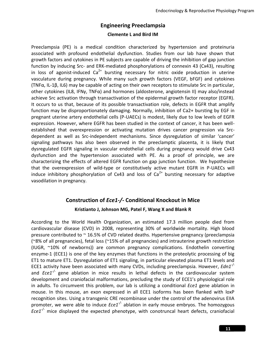# **Engineering Preeclampsia**

#### **Clemente L and Bird IM**

Preeclampsia (PE) is a medical condition characterized by hypertension and proteinuria associated with profound endothelial dysfunction. Studies from our lab have shown that growth factors and cytokines in PE subjects are capable of driving the inhibition of gap junction function by inducing Src- and ERK-mediated phosphorylations of connexin 43 (Cx43), resulting in loss of agonist-induced  $Ca^{2+}$  bursting necessary for nitric oxide production in uterine vasculature during pregnancy. While many such growth factors (VEGF, bFGF) and cytokines (TNFα, IL-1β, IL6) may be capable of acting on their own receptors to stimulate Src in particular, other cytokines (IL8, IFNγ, TNFα) and hormones (aldosterone, angiotensin II) may also/instead achieve Src activation through transactivation of the epidermal growth factor receptor (EGFR). It occurs to us that, because of its possible transactivation role, defects in EGFR that amplify function may be disproportionately damaging. Normally, inhibition of Ca2+ bursting by EGF in pregnant uterine artery endothelial cells (P-UAECs) is modest, likely due to low levels of EGFR expression. However, where EGFR has been studied in the context of cancer, it has been wellestablished that overexpression or activating mutation drives cancer progression via Srcdependent as well as Src-independent mechanisms. Since dysregulation of similar 'cancer' signaling pathways has also been observed in the preeclamptic placenta, it is likely that dysregulated EGFR signaling in vascular endothelial cells during pregnancy would drive Cx43 dysfunction and the hypertension associated with PE. As a proof of principle, we are characterizing the effects of altered EGFR function on gap junction function. We hypothesize that the overexpression of wild-type or constitutively active mutant EGFR in P-UAECs will induce inhibitory phosphorylation of Cx43 and loss of  $Ca<sup>2+</sup>$  bursting necessary for adaptive vasodilation in pregnancy.

# **Construction of** *Ece1-/-* **Conditional Knockout in Mice Kristianto J, Johnson MG, Patel F, Wang X and Blank R**

According to the World Health Organization, an estimated 17.3 million people died from cardiovascular disease (CVD) in 2008, representing 30% of worldwide mortality. High blood pressure contributed to  $\sim$  16.5% of CVD related deaths. Hypertensive pregnancy (preeclampsia (~8% of all pregnancies), fetal loss (~15% of all pregnancies) and intrauterine growth restriction (IUGR, ~10% of newborns)) are common pregnancy complications. Endothelin converting enzyme-1 (ECE1) is one of the key enzymes that functions in the proteolytic processing of big ET1 to mature ET1. Dysregulation of ET1 signaling, in particular elevated plasma ET1 levels and ECE1 activity have been associated with many CVDs, including preeclampsia. However, *Edn1-/* and *Ece1-/-* gene ablation in mice results in lethal defects in the cardiovascular system development and craniofacial malformations, precluding the study of ECE1's physiological role in adults. To circumvent this problem, our lab is utilizing a conditional *Ece1* gene ablation in mouse. In this mouse, an exon expressed in all ECE1 isoforms has been flanked with loxP recognition sites. Using a transgenic CRE recombinase under the control of the adenovirus EIIA promoter, we were able to induce *Ece1<sup>-/-</sup>* ablation in early mouse embryos. The homozygous *Ece1-/-* mice displayed the expected phenotype, with conotruncal heart defects, craniofacial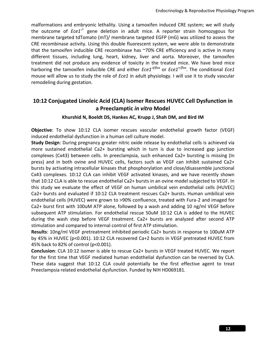malformations and embryonic lethality. Using a tamoxifen induced CRE system; we will study the outcome of *Ece1-/-* gene deletion in adult mice. A reporter strain homozygous for membrane targeted tdTomato (mT)/ membrane targeted EGFP (mG) was utilized to assess the CRE recombinase activity. Using this double fluorescent system, we were able to demonstrate that the tamoxifen inducible CRE recombinase has ~70% CRE efficiency and is active in many different tissues, including lung, heart, kidney, liver and aorta. Moreover, the tamoxifen treatment did not produce any evidence of toxicity in the treated mice. We have bred mice harboring the tamoxifen inducible CRE and either *Ece1<sup>* $\Delta$ *flox*</sup> or *Ece1<sup>+/flox</sup>*. The conditional *Ece1* mouse will allow us to study the role of *Ece1* in adult physiology. I will use it to study vascular remodeling during gestation.

### **10:12 Conjugated Linoleic Acid (CLA) Isomer Rescues HUVEC Cell Dysfunction in a Preeclamptic** *in vitro* **Model**

#### **Khurshid N, Boeldt DS, Hankes AC, Krupp J, Shah DM, and Bird IM**

**Objective**: To show 10:12 CLA isomer rescues vascular endothelial growth factor (VEGF) induced endothelial dysfunction in a human cell culture model.

**Study Design**: During pregnancy greater nitric oxide release by endothelial cells is achieved via more sustained endothelial Ca2+ bursting which in turn is due to increased gap junction complexes (Cx43) between cells. In preeclampsia, such enhanced Ca2+ bursting is missing (In press) and in both ovine and HUVEC cells, factors such as VEGF can inhibit sustained Ca2+ bursts by activating intracellular kinases that phosphorylation and close/disassemble junctional Cx43 complexes. 10:12 CLA can inhibit VEGF activated kinases, and we have recently shown that 10:12 CLA is able to rescue endothelial Ca2+ bursts in an ovine model subjected to VEGF. In this study we evaluate the effect of VEGF on human umbilical vein endothelial cells (HUVEC) Ca2+ bursts and evaluated if 10:12 CLA treatment rescues Ca2+ bursts. Human umbilical vein endothelial cells (HUVEC) were grown to >90% confluence, treated with Fura-2 and imaged for Ca2+ burst first with 100uM ATP alone, followed by a wash and adding 10 ng/ml VEGF before subsequent ATP stimulation. For endothelial rescue 50uM 10:12 CLA is added to the HUVEC during the wash step before VEGF treatment. Ca2+ bursts are analyzed after second ATP stimulation and compared to internal control of first ATP stimulation.

**Results**: 10ng/ml VEGF pretreatment inhibited periodic Ca2+ bursts in response to 100uM ATP by 45% in HUVEC (p<0.001). 10:12 CLA recovered Ca+2 bursts in VEGF pretreated HUVEC from 45% back to 82% of control (p<0.001).

**Conclusion**: CLA 10:12 isomer is able to rescue Ca2+ bursts in VEGF treated HUVEC. We report for the first time that VEGF mediated human endothelial dysfunction can be reversed by CLA. These data suggest that 10:12 CLA could potentially be the first effective agent to treat Preeclampsia related endothelial dysfunction. Funded by NIH HD069181.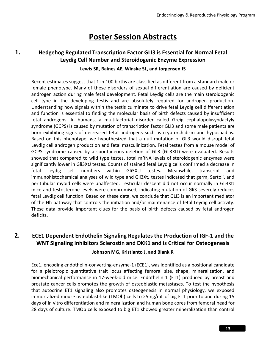# **Poster Session Abstracts**

### **1. Hedgehog Regulated Transcription Factor GLI3 is Essential for Normal Fetal Leydig Cell Number and Steroidogenic Enzyme Expression**

#### **Lewis SR, Baines AE, Winske SL, and Jorgensen JS**

Recent estimates suggest that 1 in 100 births are classified as different from a standard male or female phenotype. Many of these disorders of sexual differentiation are caused by deficient androgen action during male fetal development. Fetal Leydig cells are the main steroidogenic cell type in the developing testis and are absolutely required for androgen production. Understanding how signals within the testis culminate to drive fetal Leydig cell differentiation and function is essential to finding the molecular basis of birth defects caused by insufficient fetal androgens. In humans, a multifactorial disorder called Greig cephalopolysyndactyly syndrome (GCPS) is caused by mutation of transcription factor GLI3 and some male patients are born exhibiting signs of decreased fetal androgens such as cryptorchidism and hypospadias. Based on this phenotype, we hypothesized that a null mutation of Gli3 would disrupt fetal Leydig cell androgen production and fetal masculinization. Fetal testes from a mouse model of GCPS syndrome caused by a spontaneous deletion of Gli3 (Gli3XtJ) were evaluated. Results showed that compared to wild type testes, total mRNA levels of steroidogenic enzymes were significantly lower in Gli3XtJ testes. Counts of stained fetal Leydig cells confirmed a decrease in fetal Leydig cell numbers within Gli3XtJ testes. Meanwhile, transcript and immunohistochemical analyses of wild type and Gli3XtJ testes indicated that germ, Sertoli, and peritubular myoid cells were unaffected. Testicular descent did not occur normally in Gli3XtJ mice and testosterone levels were compromised, indicating mutation of Gli3 severely reduces fetal Leydig cell function. Based on these data, we conclude that GLI3 is an important mediator of the Hh pathway that controls the initiation and/or maintenance of fetal Leydig cell activity. These data provide important clues for the basis of birth defects caused by fetal androgen deficits.

### **2. ECE1 Dependent Endothelin Signaling Regulates the Production of IGF-1 and the WNT Signaling Inhibitors Sclerostin and DKK1 and is Critical for Osteogenesis**

#### **Johnson MG, Kristianto J, and Blank R**

Ece1, encoding endothelin-converting-enzyme-1 (ECE1), was identified as a positional candidate for a pleiotropic quantitative trait locus affecting femoral size, shape, mineralization, and biomechanical performance in 17-week-old mice. Endothelin 1 (ET1) produced by breast and prostate cancer cells promotes the growth of osteoblastic metastases. To test the hypothesis that autocrine ET1 signaling also promotes osteogenesis in normal physiology, we exposed immortalized mouse osteoblast-like (TMOb) cells to 25 ng/mL of big ET1 prior to and during 15 days of in vitro differentiation and mineralization and human bone cores from femoral head for 28 days of culture. TMOb cells exposed to big ET1 showed greater mineralization than control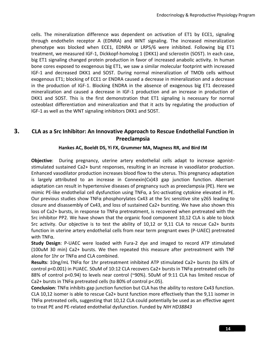cells. The mineralization difference was dependent on activation of ET1 by ECE1, signaling through endothelin receptor A (EDNRA) and WNT signaling. The increased mineralization phenotype was blocked when ECE1, EDNRA or LRP5/6 were inhibited. Following big ET1 treatment, we measured IGF-1, Dickkopf-homolog 1 (DKK1) and sclerostin (SOST). In each case, big ET1 signaling changed protein production in favor of increased anabolic activity. In human bone cores exposed to exogenous big ET1, we saw a similar molecular footprint with increased IGF-1 and decreased DKK1 and SOST. During normal mineralization of TMOb cells without exogenous ET1; blocking of ECE1 or ENDRA caused a decrease in mineralization and a decrease in the production of IGF-1. Blocking ENDRA in the absence of exogenous big ET1 decreased mineralization and caused a decrease in IGF-1 production and an increase in production of DKK1 and SOST. This is the first demonstration that ET1 signaling is necessary for normal osteoblast differentiation and mineralization and that it acts by regulating the production of IGF-1 as well as the WNT signaling inhibitors DKK1 and SOST.

### **3. CLA as a Src Inhibitor: An Innovative Approach to Rescue Endothelial Function in Preeclampsia**

#### **Hankes AC, Boeldt DS, Yi FX, Grummer MA, Magness RR, and Bird IM**

**Objective**: During pregnancy, uterine artery endothelial cells adapt to increase agoniststimulated sustained Ca2+ burst responses, resulting in an increase in vasodilator production. Enhanced vasodilator production increases blood flow to the uterus. This pregnancy adaptation is largely attributed to an increase in Connexin(Cx)43 gap junction function. Aberrant adaptation can result in hypertensive diseases of pregnancy such as preeclampsia (PE). Here we mimic PE-like endothelial cell dysfunction using TNFα, a Src-activating cytokine elevated in PE. Our previous studies show TNFα phosphorylates Cx43 at the Src sensitive site y265 leading to closure and disassembly of Cx43, and loss of sustained Ca2+ bursting. We have also shown this loss of Ca2+ bursts, in response to TNFα pretreatment, is recovered when pretreated with the Src inhibitor PP2. We have shown that the organic food component 10,12 CLA is able to block Src activity. Our objective is to test the ability of 10,12 or 9,11 CLA to rescue Ca2+ bursts function in uterine artery endothelial cells from near term pregnant ewes (P-UAEC) pretreated with TNFα.

**Study Design**: P-UAEC were loaded with Fura-2 dye and imaged to record ATP stimulated (100uM 30 min) Ca2+ bursts. We then repeated this measure after pretreatment with TNF alone for 1hr or TNFα and CLA combined.

**Results**: 10ng/mL TNFα for 1hr pretreatment inhibited ATP stimulated Ca2+ bursts (to 63% of control p<0.001) in PUAEC. 50uM of 10:12 CLA recovers Ca2+ bursts in TNFα pretreated cells (to 88% of control p<0.94) to levels near control (~90%). 50uM of 9:11 CLA has limited rescue of Ca2+ bursts in TNF $\alpha$  pretreated cells (to 80% of control p<.05).

**Conclusion**: TNFα inhibits gap junction function but CLA has the ability to restore Cx43 function. CLA 10,12 isomer is able to rescue Ca2+ burst function more effectively than the 9,11 isomer in TNFα pretreated cells, suggesting that 10,12 CLA could potentially be used as an effective agent to treat PE and PE-related endothelial dysfunction. Funded by *NIH HD38843*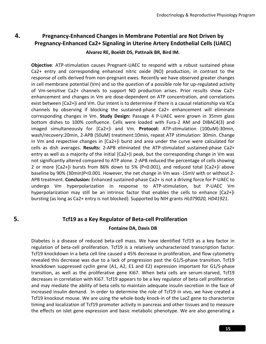### **4. Pregnancy-Enhanced Changes in Membrane Potential are Not Driven by Pregnancy-Enhanced Ca2+ Signaling in Uterine Artery Endothelial Cells (UAEC)**

#### **Alvarez RE, Boeldt DS, Pattnaik BR, Bird IM.**

**Objective**: ATP-stimulation causes Pregnant-UAEC to respond with a robust sustained phase Ca2+ entry and corresponding enhanced nitric oxide (NO) production, in contrast to the response of cells derived from non-pregnant ewes. Recently we have observed greater changes in cell membrane potential (Vm) and so the question of a possible role for up-regulated activity of Vm-sensitive Ca2+ channels to support NO production arises. Prior results show Ca2+ enhancement and changes in Vm are dose-dependent on ATP concentration, and correlations exist between [Ca2+]i and Vm. Our intent is to determine if there is a causal relationship via KCa channels by observing if blocking the sustained-phase Ca2+ enhancement will eliminate corresponding changes in Vm. **Study Design:** Passage 4 P-UAEC were grown in 35mm glass bottom dishes to 100% confluence. Cells were loaded with Fura-2 AM and DIBAC4(3) and imaged simultaneously for [Ca2+]i and Vm. **Protocol:** ATP-stimulation (100uM):30min, wash/recovery:20min, 2-APB (50uM) treatment:10min, repeat ATP stimulation: 30min. Change in Vm and respective changes in [Ca2+]i burst and area under the curve were calculated for cells as dish averages. **Results:** 2-APB eliminated the ATP-stimulated sustained-phase Ca2+ entry as well as a majority of the initial [Ca2+]i peak, but the corresponding change in Vm was not significantly altered compared to ATP alone. 2-APB reduced the percentage of cells showing 2 or more [Ca2+]i bursts from 86% down to 5% (P<0.001), and reduced total [Ca2+]i above baseline by 90% (30min)P<0.001. However, the net change in Vm was -15mV with or without 2- APB treatment. **Conclusion:** Enhanced sustained-phase Ca2+ is not a driving force for P-UAEC to undergo Vm hyperpolarization in response to ATP-stimulation, but P-UAEC Vm hyperpolarization may still be an intrinsic factor that enables the cells to enhance [Ca2+]i bursting (as long as Ca2+ entry is not blocked). Supported by NIH grants *HL079020, HD41921*.

### **5. Tcf19 as a Key Regulator of Beta-cell Proliferation**

#### **Fontaine DA, Davis DB**

Diabetes is a disease of reduced beta-cell mass. We have identified Tcf19 as a key factor in regulation of beta-cell proliferation. Tcf19 is a relatively uncharacterized transcription factor. Tcf19 knockdown in a beta cell line caused a 45% decrease in proliferation, and flow cytometry revealed this decrease was due to a lack of progression past the G1/S-phase transition. Tcf19 knockdown suppressed cyclin gene (A1, A2, E1 and E2) expression important for G1/S-phase transition, as well as the proliferative gene Ki67. When beta cells are serum-starved, Tcf19 decreases in correlation with Ki67. Tcf19 appears to be a key regulator of beta cell proliferation and may mediate the ability of beta cells to maintain adequate insulin secretion in the face of increased insulin demand. In order to determine the role of Tcf19 in vivo, we have created a Tcf19 knockout mouse. We are using the whole-body knock-in of the LacZ gene to characterize timing and localization of Tcf19 promoter activity in pancreas and other tissues and to measure the effects on islet gene expression and basic metabolic phenotype. We are also generating a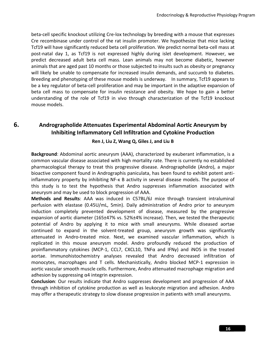beta-cell specific knockout utilizing Cre-lox technology by breeding with a mouse that expresses Cre recombinase under control of the rat insulin promoter. We hypothesize that mice lacking Tcf19 will have significantly reduced beta cell proliferation. We predict normal beta-cell mass at post-natal day 1, as Tcf19 is not expressed highly during islet development. However, we predict decreased adult beta cell mass. Lean animals may not become diabetic, however animals that are aged past 10 months or those subjected to insults such as obesity or pregnancy will likely be unable to compensate for increased insulin demands, and succumb to diabetes. Breeding and phenotyping of these mouse models is underway. In summary, Tcf19 appears to be a key regulator of beta-cell proliferation and may be important in the adaptive expansion of beta cell mass to compensate for insulin resistance and obesity. We hope to gain a better understanding of the role of Tcf19 in vivo through characterization of the Tcf19 knockout mouse models.

### **6. Andrographolide Attenuates Experimental Abdominal Aortic Aneurysm by Inhibiting Inflammatory Cell Infiltration and Cytokine Production**

#### **Ren J, Liu Z, Wang Q, Giles J, and Liu B**

**Background**: Abdominal aortic aneurysm (AAA), characterized by exuberant inflammation, is a common vascular disease associated with high mortality rate. There is currently no established pharmacological therapy to treat this progressive disease. Andrographolide (Andro), a major bioactive component found in Andrographis paniculata, has been found to exhibit potent antiinflammatory property by inhibiting NF-κ B activity in several disease models. The purpose of this study is to test the hypothesis that Andro suppresses inflammation associated with aneurysm and may be used to block progression of AAA.

**Methods and Results**: AAA was induced in C57BL/6J mice through transient intraluminal perfusion with elastase (0.45U/mL, 5min). Daily administration of Andro prior to aneurysm induction completely prevented development of disease, measured by the progressive expansion of aortic diameter (165±47% vs. 52%±4% increase). Then, we tested the therapeutic potential of Andro by applying it to mice with small aneurysms. While diseased aortae continued to expand in the solvent-treated group, aneurysm growth was significantly attenuated in Andro-treated mice. Next, we examined vascular inflammation, which is replicated in this mouse aneurysm model. Andro profoundly reduced the production of proinflammatory cytokines (MCP-1, CCL7, CXCL10, TNFα and IFNγ) and iNOS in the treated aortae. Immunohistochemistry analyses revealed that Andro decreased infiltration of monocytes, macrophages and T cells. Mechanistically, Andro blocked MCP-1 expression in aortic vascular smooth muscle cells. Furthermore, Andro attenuated macrophage migration and adhesion by suppressing  $\alpha$ 4 integrin expression.

**Conclusion**: Our results indicate that Andro suppresses development and progression of AAA through inhibition of cytokine production as well as leukocyte migration and adhesion. Andro may offer a therapeutic strategy to slow disease progression in patients with small aneurysms.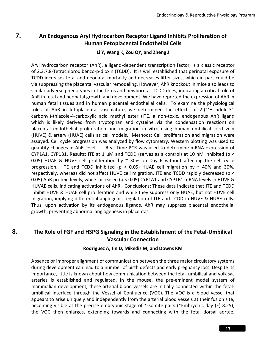### **7. An Endogenous Aryl Hydrocarbon Receptor Ligand Inhibits Proliferation of Human Fetoplacental Endothelial Cells**

#### **Li Y, Wang K, Zou QY, and Zheng J**

Aryl hydrocarbon receptor (AhR), a ligand-dependent transcription factor, is a classic receptor of 2,3,7,8-Tetrachlorodibenzo-p-dioxin (TCDD). It is well established that perinatal exposure of TCDD increases fetal and neonatal mortality and decreases litter sizes, which in part could be via suppressing the placental vascular remodeling. However, AhR knockout in mice also leads to similar adverse phenotypes in the fetus and newborn as TCDD does, indicating a critical role of AhR in fetal and neonatal growth and development. We have reported the expression of AhR in human fetal tissues and in human placental endothelial cells. To examine the physiological roles of AhR in fetoplacental vasculature, we determined the effects of 2-(1'H-indole-3' carbonyl)-thiazole-4-carboxylic acid methyl ester (ITE, a non-toxic, endogenous AhR ligand which is likely derived from tryptophan and cysteine via the condensation reaction) on placental endothelial proliferation and migration in vitro using human umbilical cord vein (HUVE) & artery (HUAE) cells as cell models. Methods: Cell proliferation and migration were assayed. Cell cycle progression was analyzed by flow cytometry. Western blotting was used to quantify changes in AhR levels. Real-Time PCR was used to determine mRNA expression of CYP1A1, CYP1B1. Results: ITE at 1  $\mu$ M and TCDD (serves as a control) at 10 nM inhibited (p < 0.05) HUAE & HUVE cell proliferation by  $\sim$  30% on Day 6 without affecting the cell cycle progression. ITE and TCDD inhibited ( $p < 0.05$ ) HUAE cell migration by  $\sim$  40% and 30%, respectively, whereas did not affect HUVE cell migration. ITE and TCDD rapidly decreased (p < 0.05) AhR protein levels; while increased (p < 0.05) CYP1A1 and CYP1B1 mRNA levels in HUVE & HUVAE cells, indicating activations of AhR. Conclusions: These data indicate that ITE and TCDD inhibit HUVE & HUAE cell proliferation and while they suppress only HUAE, but not HUVE cell migration, implying differential angiogenic regulation of ITE and TCDD in HUVE & HUAE cells. Thus, upon activation by its endogenous ligands, AhR may suppress placental endothelial growth, preventing abnormal angiogenesis in placentas.

### **8. The Role of FGF and HSPG Signaling in the Establishment of the Fetal-Umbilical Vascular Connection**

#### **Rodriguez A, Jin D, Mikedis M, and Downs KM**

Absence or improper alignment of communication between the three major circulatory systems during development can lead to a number of birth defects and early pregnancy loss. Despite its importance, little is known about how communication between the fetal, umbilical and yolk sac arteries is established and regulated. In the mouse, the pre-eminent model system of mammalian development, these arterial blood vessels are initially connected within the fetalumbilical interface through the Vessel of Confluence (VOC). The VOC is a blood vessel that appears to arise uniquely and independently from the arterial blood vessels at their fusion site, becoming visible at the precise embryonic stage of 4-somite pairs (~Embryonic day (E) 8.25); the VOC then enlarges, extending towards and connecting with the fetal dorsal aortae,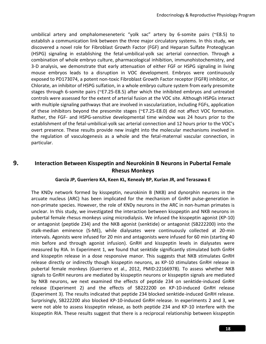umbilical artery and omphalomeseneteric "yolk sac" artery by 6-somite pairs (~E8.5) to establish a communication link between the three major circulatory systems. In this study, we discovered a novel role for Fibroblast Growth Factor (FGF) and Heparan Sulfate Proteoglycan (HSPG) signaling in establishing the fetal-umbilical-yolk sac arterial connection. Through a combination of whole embryo culture, pharmacological inhibition, immunohistochemistry, and 3-D analysis, we demonstrate that early attenuation of either FGF or HSPG signaling in living mouse embryos leads to a disruption in VOC development. Embryos were continuously exposed to PD173074, a potent non-toxic Fibroblast Growth Factor receptor (FGFR) inhibitor, or Chlorate, an inhibitor of HSPG sulfation, in a whole embryo culture system from early presomite stages through 6-somite pairs (~E7.25-E8.5) after which the inhibited embryos and untreated controls were assessed for the extent of arterial fusion at the VOC site. Although HSPGs interact with multiple signaling pathways that are involved in vascularization, including FGFs, application of these inhibitors beyond the presomite stages (~E7.25-E8.0) did not affect VOC formation. Rather, the FGF- and HSPG-sensitive developmental time window was 24 hours prior to the establishment of the fetal-umbilical-yolk sac arterial connection and 12 hours prior to the VOC's overt presence. These results provide new insight into the molecular mechanisms involved in the regulation of vasculogenesis as a whole and the fetal-maternal vascular connection, in particular.

### **9. Interaction Between Kisspeptin and Neurokinin B Neurons in Pubertal Female Rhesus Monkeys**

#### **Garcia JP, Guerriero KA, Keen KL, Kenealy BP, Kurian JR, and Terasawa E**

The KNDy network formed by kisspeptin, neurokinin B (NKB) and dynorphin neurons in the arcuate nucleus (ARC) has been implicated for the mechanism of GnRH pulse-generation in non-primate species. However, the role of KNDy neurons in the ARC in non-human primates is unclear. In this study, we investigated the interaction between kisspeptin and NKB neurons in pubertal female rhesus monkeys using microdialysis. We infused the kisspeptin agonist (KP-10) or antagonist (peptide 234) and the NKB agonist (senktide) or antagonist (SB222200) into the stalk-median eminence (S-ME), while dialysates were continuously collected at 20-min intervals. Agonists were infused for 20 min and antagonists were infused for 60 min (starting 40 min before and through agonist infusion). GnRH and kisspeptin levels in dialysates were measured by RIA. In Experiment 1, we found that senktide significantly stimulated both GnRH and kisspeptin release in a dose responsive manor. This suggests that NKB stimulates GnRH release directly or indirectly though kisspeptin neurons, as KP-10 stimulates GnRH release in pubertal female monkeys (Guerriero et al., 2012, PMID:22166978). To assess whether NKB signals to GnRH neurons are mediated by kisspeptin neurons or kisspeptin signals are mediated by NKB neurons, we next examined the effects of peptide 234 on senktide-induced GnRH release (Experiment 2) and the effects of SB222200 on KP-10-induced GnRH release (Experiment 3). The results indicated that peptide 234 blocked senktide-induced GnRH release. Surprisingly, SB222200 also blocked KP-10-induced GnRH release. In experiments 2 and 3, we were not able to assess kisspeptin release, as both peptide 234 and KP-10 interfere with the kisspeptin RIA. These results suggest that there is a reciprocal relationship between kisspeptin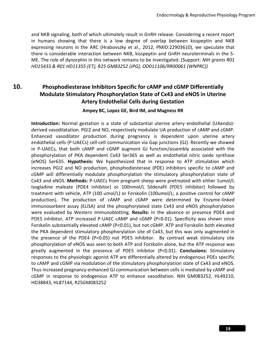and NKB signaling, both of which ultimately result in GnRH release. Considering a recent report in humans showing that there is a low degree of overlap between kisspeptin and NKB expressing neurons in the ARC (Hrabovszky et al., 2012, PMID:22903610), we speculate that there is considerable interaction between NKB, kisspeptin and GnRH neuroterminals in the S-ME. The role of dynorphin in this network remains to be investigated. (Support: *NIH grants R01 HD15433 & R01 HD11355 (ET), R25 GM83252 (JPG), OD011106/RR00061 (WNPRC))*

# **10. Phosphodiesterase Inhibitors Specific for cAMP and cGMP Differentially Modulate Stimulatory Phosphorylation State of Cx43 and eNOS in Uterine Artery Endothelial Cells during Gestation**

#### **Ampey BC, Lopez GE, Bird IM, and Magness RR**

**Introduction:** Normal gestation is a state of substantial uterine artery endothelial (UAendo) derived vasodilatation. PGI2 and NO, respectively modulate UA production of cAMP and cGMP. Enhanced vasodilator production during pregnancy is dependent upon uterine artery endothelial cells (P-UAECs) cell-cell communication via Gap junctions (GJ). Recently we showed in P-UAECs, that both cAMP and cGMP augment GJ function/assembly associated with the phosphorylation of PKA dependent Cx43 Ser365 as well as endothelial nitric oxide synthase (eNOS) Ser635. **Hypothesis:** We hypothesized that in response to ATP stimulation which increases PGI2 and NO production, phosphodiesterase (PDE) inhibitors specific to cAMP and cGMP will differentially modulate phosphorylation the stimulatory phosphorylation state of Cx43 and eNOS. **Methods:** P-UAECs from pregnant sheep were pretreated with either 1umol/L Isogladine maleate (PDE4 inhibitor) or 100nmol/L Sildenafil (PDE5 inhibitor) followed by treatment with vehicle, ATP (100 umol/L) or Forskolin (100umol/L; a positive control for cAMP production). The production of cAMP and cGMP were determined by Enzyme-linked immunosorbent assay (ELISA) and the phosphorylated state Cx43 and eNOS phosphorylation were evaluated by Western Immunoblotting. **Results:** In the absence or presence PDE4 and PDE5 inhibitor, ATP increased P-UAEC cAMP and cGMP (P<0.01). Specificity was shown since Forskolin substantially elevated cAMP (P<0.01), but not cGMP. ATP and Forskolin both elevated the PKA dependent stimulatory phosphorylation site of Cx43, but this was only augmented in the presence of the PDE4 (P<0.05) not PDE5 inhibitor. By contrast weak stimulatory site phosphorylation of eNOS was seen to both ATP and Forskolin alone, but the ATP response was greatly augmented in the presence of PDE5 inhibitor (P<0.01). **Conclusions:** Stimulatory responses to the physiologic agonist ATP are differentially altered by endogenous PDEs specific to cAMP and cGMP via modulation of the stimulatory phosphorylation state of Cx43 and eNOS. Thus increased pregnancy-enhanced GJ communication between cells is mediated by cAMP and cGMP in response to endogenous ATP to enhance vasodilation. NIH GM083252, HL49210, HD38843, HL87144, R25GM083252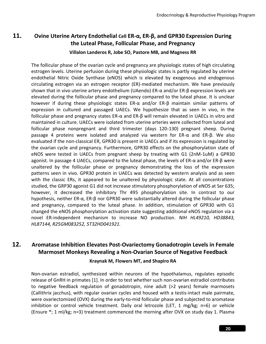# **11. Ovine Uterine Artery Endothelial Cell ER-α, ER-β, and GPR30 Expression During the Luteal Phase, Follicular Phase, and Pregnancy**

#### **Villalon Landeros R, Jobe SO, Pastore MB, and Magness RR**

The follicular phase of the ovarian cycle and pregnancy are physiologic states of high circulating estrogen levels. Uterine perfusion during these physiologic states is partly regulated by uterine endothelial Nitric Oxide Synthase (eNOS) which is elevated by exogenous and endogenous circulating estrogen via an estrogen receptor (ER)-mediated mechanism. We have previously shown that in vivo uterine artery endothelium (UAendo) ER-α and/or ER-β expression levels are elevated during the follicular phase and pregnancy compared to the luteal phase. It is unclear however if during these physiologic states ER-α and/or ER-β maintain similar patterns of expression in cultured and passaged UAECs. We hypothesize that as seen in vivo, in the follicular phase and pregnancy states ER-α and ER-β will remain elevated in UAECs in vitro and maintained in culture. UAECs were isolated from uterine arteries were collected from luteal and follicular phase nonpregnant and third trimester (days 120-130) pregnant sheep. During passage 4 proteins were isolated and analyzed via western for ER-α and ER-β. We also evaluated if the non-classical ER, GPR30 is present in UAECs and if its expression is regulated by the ovarian cycle and pregnancy. Furthermore, GPR30 effects on the phosphorylation state of eNOS were tested in UAECs from pregnant sheep by treating with G1 (2nM-1uM) a GPR30 agonist. In passage 4 UAECs, compared to the luteal phase, the levels of ER-α and/or ER-β were unaltered by the follicular phase or pregnancy demonstrating the loss of the expression patterns seen in vivo. GPR30 protein in UAECs was detected by western analysis and as seen with the classic ERs, it appeared to be unaltered by physiologic state. At all concentrations studied, the GRP30 agonist G1 did not increase stimulatory phosphorylation of eNOS at Ser 635; however, it decreased the inhibitory Thr 495 phosphorylation site. In contrast to our hypothesis, neither ER-α, ER-β nor GPR30 were substantially altered during the follicular phase and pregnancy, compared to the luteal phase. In addition, stimulation of GPR30 with G1 changed the eNOS phosphorylation activation state suggesting additional eNOS regulation via a novel ER-independent mechanism to increase NO production. *NIH HL49210, HD38843, HL87144, R25GM083252, 5T32HD041921.* 

# **12. Aromatase Inhibition Elevates Post-Ovariectomy Gonadotropin Levels in Female Marmoset Monkeys Revealing a Non-Ovarian Source of Negative Feedback**

#### **Kraynak M, Flowers MT, and Shapiro RA**

Non-ovarian estradiol, synthesized within neurons of the hypothalamus, regulates episodic release of GnRH in primates [1]. In order to test whether such non-ovarian estradiol contributes to negative feedback regulation of gonadotropin, nine adult (>2 years) female marmosets (Callithrix jacchus), with regular ovarian cycles and housed with a testis-intact male pairmate, were ovariectomized (OVX) during the early-to-mid follicular phase and subjected to aromatase inhibition or control vehicle treatment. Daily oral letrozole (LET, 1 mg/kg; n=6) or vehicle (Ensure ®; 1 ml/kg; n=3) treatment commenced the morning after OVX on study day 1. Plasma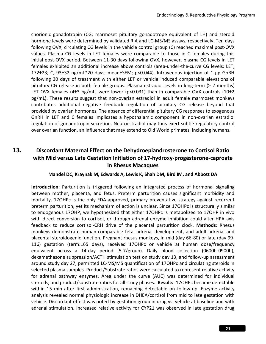chorionic gonadotropin (CG; marmoset pituitary gonadotrope equivalent of LH) and steroid hormone levels were determined by validated RIA and LC-MS/MS assays, respectively. Ten days following OVX, circulating CG levels in the vehicle control group (C) reached maximal post-OVX values. Plasma CG levels in LET females were comparable to those in C females during this initial post-OVX period. Between 11-30 days following OVX, however, plasma CG levels in LET females exhibited an additional increase above controls (area-under-the-curve CG levels: LET, 172±23; C, 93±32 ng/mL\*20 days; mean±SEM; p<0.044). Intravenous injection of 1 μg GnRH following 30 days of treatment with either LET or vehicle induced comparable elevations of pituitary CG release in both female groups. Plasma estradiol levels in long-term (≥ 2 months) LET OVX females (4 $\pm$ 3 pg/mL) were lower (p<0.031) than in comparable OVX controls (10 $\pm$ 2 pg/mL). These results suggest that non-ovarian estradiol in adult female marmoset monkeys contributes additional negative feedback regulation of pituitary CG release beyond that provided by ovarian hormones. The absence of differential pituitary CG responses to exogenous GnRH in LET and C females implicates a hypothalamic component in non-ovarian estradiol regulation of gonadotropin secretion. Neuroestradiol may thus exert subtle regulatory control over ovarian function, an influence that may extend to Old World primates, including humans.

# **13. Discordant Maternal Effect on the Dehydroepiandrosterone to Cortisol Ratio with Mid versus Late Gestation Initiation of 17-hydroxy-progesterone-caproate in Rhesus Macaques**

#### **Mandel DC, Kraynak M, Edwards A, Lewis K, Shah DM, Bird IM, and Abbott DA**

**Introduction**: Parturition is triggered following an integrated process of hormonal signaling between mother, placenta, and fetus. Preterm parturition causes significant morbidity and mortality. 17OHPc is the only FDA-approved, primary preventative strategy against recurrent preterm parturition, yet its mechanism of action is unclear. Since 17OHPc is structurally similar to endogenous 17OHP, we hypothesized that either 17OHPc is metabolized to 17OHP in vivo with direct conversion to cortisol, or through adrenal enzyme inhibition could alter HPA axis feedback to reduce cortisol-CRH drive of the placental parturition clock. **Methods**: Rhesus monkeys demonstrate human-comparable fetal adrenal development, and adult adrenal and placental steroidogenic function. Pregnant rhesus monkeys, in mid (day 66-80) or late (day 99- 116) gestation (term:165 days), received 17OHPc or vehicle at human dose/frequency equivalent across a 14-day period (5-7/group). Daily blood collection (0600h-0900h), dexamethasone suppression/ACTH stimulation test on study day 13, and follow-up assessment around study day 27, permitted LC-MS/MS quantification of 17OHPc and circulating steroids in selected plasma samples. Product/Substrate ratios were calculated to represent relative activity for adrenal pathway enzymes. Area under the curve (AUC) was determined for individual steroids, and product/substrate ratios for all study phases. **Results**: 17OHPc became detectable within 15 min after first administration, remaining detectable on follow-up. Enzyme activity analysis revealed normal physiologic increase in DHEA/cortisol from mid to late gestation with vehicle. Discordant effect was noted by gestation group in drug vs. vehicle at baseline and with adrenal stimulation. Increased relative activity for CYP21 was observed in late gestation drug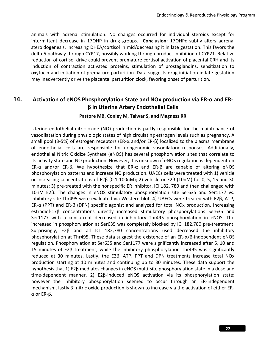animals with adrenal stimulation. No changes occurred for individual steroids except for intermittent decrease in 17OHP in drug groups. **Conclusion**: 17OHPc subtly alters adrenal steroidogenesis, increasing DHEA/cortisol in mid/decreasing it in late gestation. This favors the delta-5 pathway through CYP17, possibly working through product inhibition of CYP21. Relative reduction of cortisol drive could prevent premature cortisol activation of placental CRH and its induction of contraction activated proteins, stimulation of prostaglandins, sensitization to oxytocin and initiation of premature parturition. Data suggests drug initiation in late gestation may inadvertently drive the placental parturition clock, favoring onset of parturition.

# **14. Activation of eNOS Phosphorylation State and NOx production via ER-α and ERβ in Uterine Artery Endothelial Cells**

#### **Pastore MB, Conley M, Talwar S, and Magness RR**

Uterine endothelial nitric oxide (NO) production is partly responsible for the maintenance of vasodilatation during physiologic states of high circulating estrogen levels such as pregnancy. A small pool (3-5%) of estrogen receptors (ER-α and/or ER-β) localized to the plasma membrane of endothelial cells are responsible for nongenomic vasodilatory responses. Additionally, endothelial Nitric Oxidize Synthase (eNOS) has several phosphorylation sites that correlate to its activity state and NO production. However, it is unknown if eNOS regulation is dependent on ER-α and/or ER-β. We hypothesize that ER-α and ER-β are capable of altering eNOS phosphorylation patterns and increase NO production. UAECs cells were treated with 1) vehicle or increasing concentrations of E2β (0.1-100nM); 2) vehicle or E2β (10nM) for 0, 5, 15 and 30 minutes; 3) pre-treated with the nonspecific ER inhibitor, ICI 182, 780 and then challenged with 10nM E2β. The changes in eNOS stimulatory phosphorylation site Ser635 and Ser1177 vs. inhibitory site Thr495 were evaluated via Western blot. 4) UAECs were treated with E2β, ATP, ER-α (PPT) and ER-β (DPN) specific agonist and analyzed for total NOx production. Increasing estradiol-17β concentrations directly increased stimulatory phosphorylations Ser635 and Ser1177 with a concurrent decreased in inhibitory Thr495 phosphorylation in eNOS. The increased in phosphorylation at Ser635 was completely blocked by ICI 182,780 pre-treatment. Surprisingly, E2β and all ICI 182,780 concentrations used decreased the inhibitory phosphorylation at Thr495. These data suggest the existence of an  $ER-\alpha/B$ -independent eNOS regulation. Phosphorylation at Ser635 and Ser1177 were significantly increased after 5, 10 and 15 minutes of E2β treatment; while the inhibitory phosphorylation Thr495 was significantly reduced at 30 minutes. Lastly, the E2β, ATP, PPT and DPN treatments increase total NOx production starting at 10 minutes and continuing up to 30 minutes. These data support the hypothesis that 1) E2β mediates changes in eNOS multi-site phosphorylation state in a dose and time-dependent manner, 2) E2β-induced eNOS activation via its phosphorylation state; however the inhibitory phosphorylation seemed to occur through an ER-independent mechanism, lastly 3) nitric oxide production is shown to increase via the activation of either ERα or ER-β.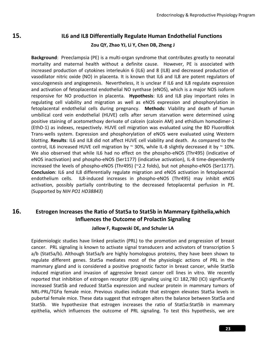# **15. IL6 and IL8 Differentially Regulate Human Endothelial Functions Zou QY, Zhao YJ, Li Y, Chen DB, Zheng J**

**Background**: Preeclampsia (PE) is a multi-organ syndrome that contributes greatly to neonatal mortality and maternal health without a definite cause. However, PE is associated with increased production of cytokines interleukin 6 (IL6) and 8 (IL8) and decreased production of vasodilator nitric oxide (NO) in placenta. It is known that IL6 and IL8 are potent regulators of vasculogenesis and angiogenesis. Nevertheless, it is unclear if IL6 and IL8 regulate expression and activation of fetoplacental endothelial NO synthase (eNOS), which is a major NOS isoform responsive for NO production in placenta. **Hypothesis**: IL6 and IL8 play important roles in regulating cell viability and migration as well as eNOS expression and phosphorylation in fetoplacental endothelial cells during pregnancy. **Methods**: Viability and death of human umbilical cord vein endothelial (HUVE) cells after serum starvation were determined using positive staining of acetomethoxy derivate of calcein (calcein AM) and ethidium homodimer-1 (EthD-1) as indexes, respectively. HUVE cell migration was evaluated using the BD FluoroBlok Trans-wells system. Expression and phosphorylation of eNOS were evaluated using Western blotting. **Results**: IL6 and IL8 did not affect HUVE cell viability and death. As compared to the control, IL6 increased HUVE cell migration by  $\sim$  30%, while IL-8 slightly decreased it by  $\sim$  10%. We also observed that while IL6 had no effect on the phospho-eNOS (Thr495) (indicative of eNOS inactivation) and phospho-eNOS (Ser1177) (indicative activation), IL-8 time-dependently increased the levels of phospho-eNOS (Thr495) (~2.2 folds), but not phospho-eNOS (Ser1177). **Conclusion**: IL6 and IL8 differentially regulate migration and eNOS activation in fetoplacental endothelium cells. IL8-induced increases in phospho-eNOS (Thr495) may inhibit eNOS activation, possibly partially contributing to the decreased fetoplacental perfusion in PE. (Supported by *NIH PO1 HD38843*)

# **16. Estrogen Increases the Ratio of Stat5a to Stat5b in Mammary Epithelia,which Influences the Outcome of Prolactin Signaling**

#### **Jallow F, Rugowski DE, and Schuler LA**

Epidemiologic studies have linked prolactin (PRL) to the promotion and progression of breast cancer. PRL signaling is known to activate signal transducers and activators of transcription 5 a/b (Stat5a/b). Although Stat5a/b are highly homologous proteins, they have been shown to regulate different genes. Stat5a mediates most of the physiologic actions of PRL in the mammary gland and is considered a positive prognostic factor in breast cancer, while Stat5b induced migration and invasion of aggressive breast cancer cell lines in vitro. We recently reported that inhibition of estrogen receptor (ER) signaling using ICI 182,780 (ICI) significantly increased Stat5b and reduced Stat5a expression and nuclear protein in mammary tumors of NRL-PRL/TGFα female mice. Previous studies indicate that estrogen elevates Stat5a levels in pubertal female mice. These data suggest that estrogen alters the balance between Stat5a and Stat5b. We hypothesize that estrogen increases the ratio of Stat5a:Stat5b in mammary epithelia, which influences the outcome of PRL signaling. To test this hypothesis, we are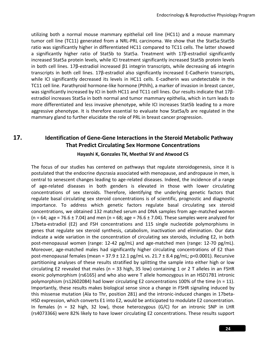utilizing both a normal mouse mammary epithelial cell line (HC11) and a mouse mammary tumor cell line (TC11) generated from a NRL-PRL carcinoma. We show that the Stat5a:Stat5b ratio was significantly higher in differentiated HC11 compared to TC11 cells. The latter showed a significantly higher ratio of Stat5b to Stat5a. Treatment with 17β-estradiol significantly increased Stat5a protein levels, while ICI treatment significantly increased Stat5b protein levels in both cell lines. 17β-estradiol increased β1 integrin transcripts, while decreasing α6 integrin transcripts in both cell lines. 17β-estradiol also significantly increased E-Cadherin transcripts, while ICI significantly decreased its levels in HC11 cells. E-cadherin was undetectable in the TC11 cell line. Parathyroid hormone-like hormone (Pthlh), a marker of invasion in breast cancer, was significantly increased by ICI in both HC11 and TC11 cell lines. Our results indicate that 17βestradiol increases Stat5a in both normal and tumor mammary epithelia, which in turn leads to more differentiated and less invasive phenotype, while ICI increases Stat5b leading to a more aggressive phenotype. It is therefore essential to evaluate how Stat5a/b are regulated in the mammary gland to further elucidate the role of PRL in breast cancer progression.

# **17. Identification of Gene-Gene Interactions in the Steroid Metabolic Pathway That Predict Circulating Sex Hormone Concentrations**

#### **Hayashi K, Gonzales TK, Meethal SV and Atwood CS**

The focus of our studies has centered on pathways that regulate steroidogenesis, since it is postulated that the endocrine dyscrasia associated with menopause, and andropause in men, is central to senescent changes leading to age-related diseases. Indeed, the incidence of a range of age-related diseases in both genders is elevated in those with lower circulating concentrations of sex steroids. Therefore, identifying the underlying genetic factors that regulate basal circulating sex steroid concentrations is of scientific, prognostic and diagnostic importance. To address which genetic factors regulate basal circulating sex steroid concentrations, we obtained 132 matched serum and DNA samples from age-matched women  $(n = 64; a$ ge = 76.6 ± 7.04) and men  $(n = 68; a$ ge = 76.6 ± 7.04). These samples were analyzed for 17beta-estradiol (E2) and FSH concentrations and 115 single nucleotide polymorphisms in genes that regulate sex steroid synthesis, catabolism, inactivation and elimination. Our data indicate a wide variation in the concentration of circulating sex steroids, including E2, in both post-menopausal women (range: 12-42 pg/mL) and age-matched men (range: 12-70 pg/mL). Moreover, age-matched males had significantly higher circulating concentrations of E2 than post-menopausal females (mean =  $37.9 \pm 12.1$  pg/mL vs.  $21.7 \pm 8.4$  pg/mL; p<0.0001). Recursive partitioning analyses of these results stratified by splitting the sample into either high or low circulating E2 revealed that males ( $n = 33$  high, 35 low) containing 1 or 2 T alleles in an FSHR exonic polymorphism (rs6165) and who also were T allele homozygous in an HSD17B1 intronic polymorphism (rs12602084) had lower circulating E2 concentrations 100% of the time (n = 11). Importantly, these results makes biological sense since a change in FSHR signaling induced by this missense mutation (Ala to Thr, position 281) and the intronic-induced changes in 17beta-HSD expression, which converts E1 into E2, would be anticipated to modulate E2 concentration. In females ( $n = 32$  high, 32 low), those heterozygous ( $G/C$ ) for an intronic SNP in LHR (rs4073366) were 82% likely to have lower circulating E2 concentrations. These results support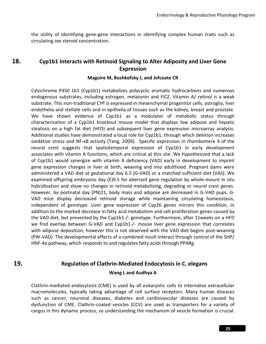the utility of identifying gene-gene interactions in identifying complex human traits such as circulating sex steroid concentration.

### **18. Cyp1b1 Interacts with Retinoid Signaling to Alter Adiposity and Liver Gene Expression**

#### **Maguire M, Bushkofsky J, and Jefcoate CR**

Cytochrome P450 1b1 (Cyp1b1) metabolizes polycyclic aromatic hydrocarbons and numerous endogenous substrates, including estrogen, melatonin and FICZ. Vitamin A/ retinol is a weak substrate. This non-traditional CYP is expressed in mesenchymal progenitor cells, astroglia, liver endothelia and stellate cells and in epithelia of tissues such as the kidney, breast and prostate. We have shown evidence of Cyp1b1 as a modulator of metabolic status through characterization of a Cyp1b1 knockout mouse model that displays low adipose and hepatic steatosis on a high fat diet (HFD) and subsequent liver gene expression microarray analysis. Additional studies have demonstrated a local role for Cyp1b1, through which deletion increases oxidative stress and NF-κB activity (Tang, 2009). Specific expression in rhombomere 4 of the neural crest suggests that spatiotemporal expression of Cyp1b1 in early development associates with vitamin A functions, which are critical at this site. We hypothesized that a lack of Cyp1b1 would synergize with vitamin A deficiency (VAD) early in development to imprint gene expression changes in liver at birth, weaning and into adulthood. Pregnant dams were administered a VAD diet at gestational day 6.5 (G-VAD) or a matched sufficient diet (VAS). We examined offspring embryonic day (E)9.5 for aberrant gene regulation by whole-mount in situ hybridization and show no changes in retinoid metabolizing, degrading or neural crest genes. However, by postnatal day (PN)21, body mass and adipose are decreased in G-VAD pups. G-VAD mice display decreased retinoid storage while maintaining circulating homeostasis, independent of genotype. Liver gene expression of Cyp26 genes mirrors this condition, in addition to the marked decrease in fatty acid metabolism and cell proliferation genes caused by the VAD diet, but prevented by the Cyp1b1-/- genotype. Furthermore, after 11weeks on a HFD we find overlap between G-VAD and Cyp1b1-/- mouse liver gene expression that correlates with adipose deposition, however this is not observed with the VAD diet begins post-weaning (PW-VAD). The developmental effects of a combined insult interact through control of the SHP/ HNF-4a pathway, which responds to and regulates fatty acids through PPARg.

# **19. Regulation of Clathrin-Mediated Endocytosis in C. elegans Wang L and Audhya A**

Clathrin-mediated endocytosis (CME) is used by all eukaryotic cells to internalize extracellular macromolecules, typically taking advantage of cell surface receptors. Many human diseases such as cancer, neuronal diseases, diabetes and cardiovascular diseases are caused by dysfunction of CME. Clathrin-coated vesicles (CCV) are used as transporters for a variety of cargos in this dynamic process, so understanding the mechanism of vesicle formation is crucial.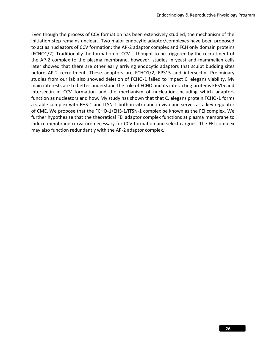Even though the process of CCV formation has been extensively studied, the mechanism of the initiation step remains unclear. Two major endocytic adaptor/complexes have been proposed to act as nucleators of CCV formation: the AP-2 adaptor complex and FCH only domain proteins (FCHO1/2). Traditionally the formation of CCV is thought to be triggered by the recruitment of the AP-2 complex to the plasma membrane, however, studies in yeast and mammalian cells later showed that there are other early arriving endocytic adaptors that sculpt budding sites before AP-2 recruitment. These adaptors are FCHO1/2, EPS15 and intersectin. Preliminary studies from our lab also showed deletion of FCHO-1 failed to impact C. elegans viability. My main interests are to better understand the role of FCHO and its interacting proteins EPS15 and intersectin in CCV formation and the mechanism of nucleation including which adaptors function as nucleators and how. My study has shown that that C. elegans protein FCHO-1 forms a stable complex with EHS-1 and ITSN-1 both in vitro and in vivo and serves as a key regulator of CME. We propose that the FCHO-1/EHS-1/ITSN-1 complex be known as the FEI complex. We further hypothesize that the theoretical FEI adaptor complex functions at plasma membrane to induce membrane curvature necessary for CCV formation and select cargoes. The FEI complex may also function redundantly with the AP-2 adaptor complex.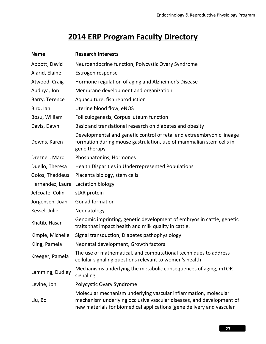# **2014 ERP Program Faculty Directory**

| <b>Name</b>      | <b>Research Interests</b>                                                                                                                                                                                        |  |
|------------------|------------------------------------------------------------------------------------------------------------------------------------------------------------------------------------------------------------------|--|
| Abbott, David    | Neuroendocrine function, Polycystic Ovary Syndrome                                                                                                                                                               |  |
| Alarid, Elaine   | Estrogen response                                                                                                                                                                                                |  |
| Atwood, Craig    | Hormone regulation of aging and Alzheimer's Disease                                                                                                                                                              |  |
| Audhya, Jon      | Membrane development and organization                                                                                                                                                                            |  |
| Barry, Terence   | Aquaculture, fish reproduction                                                                                                                                                                                   |  |
| Bird, lan        | Uterine blood flow, eNOS                                                                                                                                                                                         |  |
| Bosu, William    | Folliculogenesis, Corpus luteum function                                                                                                                                                                         |  |
| Davis, Dawn      | Basic and translational research on diabetes and obesity                                                                                                                                                         |  |
| Downs, Karen     | Developmental and genetic control of fetal and extraembryonic lineage<br>formation during mouse gastrulation, use of mammalian stem cells in<br>gene therapy                                                     |  |
| Drezner, Marc    | Phosphatonins, Hormones                                                                                                                                                                                          |  |
| Duello, Theresa  | Health Disparities in Underrepresented Populations                                                                                                                                                               |  |
| Golos, Thaddeus  | Placenta biology, stem cells                                                                                                                                                                                     |  |
| Hernandez, Laura | Lactation biology                                                                                                                                                                                                |  |
| Jefcoate, Colin  | stAR protein                                                                                                                                                                                                     |  |
| Jorgensen, Joan  | <b>Gonad formation</b>                                                                                                                                                                                           |  |
| Kessel, Julie    | Neonatology                                                                                                                                                                                                      |  |
| Khatib, Hasan    | Genomic imprinting, genetic development of embryos in cattle, genetic<br>traits that impact health and milk quality in cattle.                                                                                   |  |
| Kimple, Michelle | Signal transduction, Diabetes pathophysiology                                                                                                                                                                    |  |
| Kling, Pamela    | Neonatal development, Growth factors                                                                                                                                                                             |  |
| Kreeger, Pamela  | The use of mathematical, and computational techniques to address<br>cellular signaling questions relevant to women's health                                                                                      |  |
| Lamming, Dudley  | Mechanisms underlying the metabolic consequences of aging, mTOR<br>signaling                                                                                                                                     |  |
| Levine, Jon      | Polycystic Ovary Syndrome                                                                                                                                                                                        |  |
| Liu, Bo          | Molecular mechanism underlying vascular inflammation, molecular<br>mechanism underlying occlusive vascular diseases, and development of<br>new materials for biomedical applications (gene delivery and vascular |  |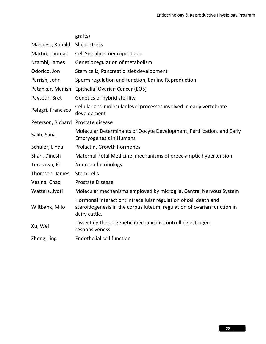|                                    | grafts)                                                                                                                                                      |  |
|------------------------------------|--------------------------------------------------------------------------------------------------------------------------------------------------------------|--|
| Magness, Ronald                    | Shear stress                                                                                                                                                 |  |
| Martin, Thomas                     | Cell Signaling, neuropeptides                                                                                                                                |  |
| Ntambi, James                      | Genetic regulation of metabolism                                                                                                                             |  |
| Odorico, Jon                       | Stem cells, Pancreatic islet development                                                                                                                     |  |
| Parrish, John                      | Sperm regulation and function, Equine Reproduction                                                                                                           |  |
| Patankar, Manish                   | Epithelial Ovarian Cancer (EOS)                                                                                                                              |  |
| Payseur, Bret                      | Genetics of hybrid sterility                                                                                                                                 |  |
| Pelegri, Francisco                 | Cellular and molecular level processes involved in early vertebrate<br>development                                                                           |  |
| Peterson, Richard Prostate disease |                                                                                                                                                              |  |
| Salih, Sana                        | Molecular Determinants of Oocyte Development, Fertilization, and Early<br><b>Embryogenesis in Humans</b>                                                     |  |
| Schuler, Linda                     | Prolactin, Growth hormones                                                                                                                                   |  |
| Shah, Dinesh                       | Maternal-Fetal Medicine, mechanisms of preeclamptic hypertension                                                                                             |  |
| Terasawa, Ei                       | Neuroendocrinology                                                                                                                                           |  |
| Thomson, James                     | <b>Stem Cells</b>                                                                                                                                            |  |
| Vezina, Chad                       | Prostate Disease                                                                                                                                             |  |
| Watters, Jyoti                     | Molecular mechanisms employed by microglia, Central Nervous System                                                                                           |  |
| Wiltbank, Milo                     | Hormonal interaction; intracellular regulation of cell death and<br>steroidogenesis in the corpus luteum; regulation of ovarian function in<br>dairy cattle. |  |
| Xu, Wei                            | Dissecting the epigenetic mechanisms controlling estrogen<br>responsiveness                                                                                  |  |
| Zheng, Jing                        | <b>Endothelial cell function</b>                                                                                                                             |  |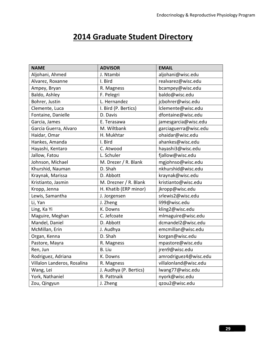# **2014 Graduate Student Directory**

| <b>NAME</b>                 | <b>ADVISOR</b>         | <b>EMAIL</b>          |
|-----------------------------|------------------------|-----------------------|
| Aljohani, Ahmed             | J. Ntambi              | aljohani@wisc.edu     |
| Alvarez, Roxanne            | I. Bird                | realvarez@wisc.edu    |
| Ampey, Bryan                | R. Magness             | bcampey@wisc.edu      |
| Baldo, Ashley               | F. Pelegri             | baldo@wisc.edu        |
| Bohrer, Justin              | L. Hernandez           | jcbohrer@wisc.edu     |
| Clemente, Luca              | I. Bird (P. Bertics)   | Iclemente@wisc.edu    |
| Fontaine, Danielle          | D. Davis               | dfontaine@wisc.edu    |
| Garcia, James               | E. Terasawa            | jamesgarcia@wisc.edu  |
| Garcia Guerra, Alvaro       | M. Wiltbank            | garciaguerra@wisc.edu |
| Haidar, Omar                | H. Mukhtar             | ohaidar@wisc.edu      |
| Hankes, Amanda              | I. Bird                | ahankes@wisc.edu      |
| Hayashi, Kentaro            | C. Atwood              | hayashi3@wisc.edu     |
| Jallow, Fatou               | L. Schuler             | fjallow@wisc.edu      |
| Johnson, Michael            | M. Drezer / R. Blank   | mgjohnso@wisc.edu     |
| Khurshid, Nauman            | D. Shah                | nkhurshid@wisc.edu    |
| Kraynak, Marissa            | D. Abbott              | kraynak@wisc.edu      |
| Kristianto, Jasmin          | M. Drezner / R. Blank  | kristianto@wisc.edu   |
| Kropp, Jenna                | H. Khatib (ERP minor)  | jkropp@wisc.edu       |
| Lewis, Samantha             | J. Jorgensen           | srlewis2@wisc.edu     |
| Li, Yan                     | J. Zheng               | li99@wisc.edu         |
| Ling, Ka Yi                 | K. Downs               | kling2@wisc.edu       |
| Maguire, Meghan             | C. Jefcoate            | mlmaguire@wisc.edu    |
| Mandel, Daniel              | D. Abbott              | dcmandel2@wisc.edu    |
| McMillan, Erin              | J. Audhya              | emcmillan@wisc.edu    |
| Organ, Kenna                | D. Shah                | korgan@wisc.edu       |
| Pastore, Mayra              | R. Magness             | mpastore@wisc.edu     |
| Ren, Jun                    | B. Liu                 | jren9@wisc.edu        |
| Rodriguez, Adriana          | K. Downs               | amrodriguez4@wisc.edu |
| Villalon Landeros, Rosalina | R. Magness             | villalonland@wisc.edu |
| Wang, Lei                   | J. Audhya (P. Bertics) | lwang77@wisc.edu      |
| York, Nathaniel             | <b>B.</b> Pattnaik     | nyork@wisc.edu        |
| Zou, Qingyun                | J. Zheng               | qzou2@wisc.edu        |